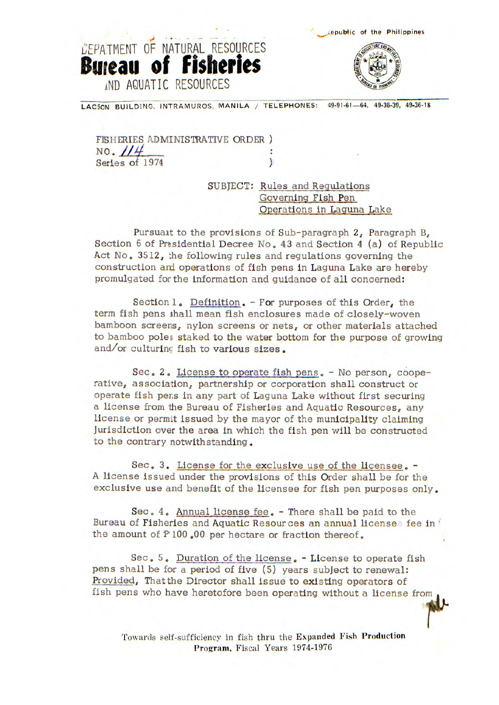epub1ic of the Philippines



LACSON BUILDING, INTRAMUROS, MANILA / TELEPHONES: 49-91-61-64, 49-36-39, 49-36-18

FISHERIES ADMINISTRATIVE ORDER)  $NO. 114$ Series of 1974

DEPATMENT OF NATURAL RESOURCES

**Bureau of Fisheries** 

**AND AQUATIC RESOURCES** 

SUBJECT: Rules and Regulations Governing Fish Pen Operations in Laguna Lake

Pursuait to the provisions of Sub-paragraph 2, Paragraph B, Section 6 of Presidential Decree No. 43 and Section 4 (a) of Republic Act No. 3512, the following rules and regulations governing the construction and operations of fish pens in Laguna Lake are hereby promulgated for the information and guidance of all concerned:

Section 1. Definition. - For purposes of this Order, the term fish pens shall mean fish enclosures made of closely-woven bamboon screens, nylon screens or nets, or other materials attached to bamboo poles staked to the water bottom for the purpose of growing and/or culturing fish to various sizes.

Sec. 2, License to operate fish pens. - No person, cooperative, association, partnership or corporation shall construct or operate fish pens in any part of Laguna Lake without first securing a license from the Bureau of Fisheries and Aquatic Resources, any license or permit issued by the mayor of the municipality claiming Jurisdiction over the area In which the fish pen will be constructed to the contrary notwithstanding.

Sec. 3. License for the exclusive use of the licensee, - A license Issued under the provisions of this Order shall be for the exclusive use and benefit of the licensee for fish pen purposes only.

Sec. 4, Annual license fee, - There shall be paid to the Bureau of Fisheries and Aquatic Resources an annual licensee fee in  $\ell$ the amount of P 100.00 per hectare or fraction thereof.

Sec, 5, Duration of the license, - License to operate fish pens shall be for a period of five (5) years subject to renewal: Provided, Thatthe Director shall issue to existing operators of fish pens who have heretofore been operating without a license from

Towards self-sufficiency in fish thru the Expanded Fish **Production**  Program, Fiscal Years 1974-1976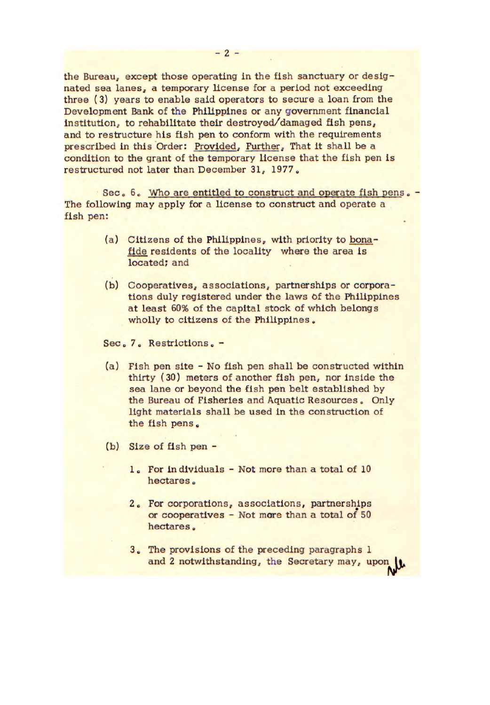the Bureau, except those operating in the fish sanctuary or designated sea lanes, a temporary license for a period not exceeding three (3) years to enable said operators to secure a loan from the Development Bank of the Philippines or any government financial institution, to rehabilitate their destroyed/damaged fish pens, and to restructure his fish pen to conform with the requirements prescribed in this Order: Provided, Further, That it shall be a condition to the grant of the temporary license that the fish pen is restructured not later than December 31, 1977

Sec. 6. Who are entitled to construct and operate fish pens. The following may apply for a license to construct and operate a fish pen:

- (a) Citizens of the Philippines, with priority to bonafide residents of the locality where the area is located; and
- (b) Cooperatives, associations, partnerships or corporations duly registered under the laws of the Philippines at least 60% of the capital stock of which belongs wholly to citizens of the Philippines.

Sec. 7. Restrictions. -

- (a) Fish pen site No fish pen shall be constructed within thirty (30) meters of another fish pen, nor inside the sea lane or beyond the fish pen belt established by the Bureau of Fisheries and Aquatic Resources. Only light materials shall be used In the construction of the fish pens.
- (b) Size of fish pen
	- 1. For individuals Not more than a total of 10 hectares.
	- 2. For corporations, associations, partnerships or cooperatives - Not more than a total of 50 hectares.
	- 3. The provisions of the preceding paragraphs 1 and 2 notwithstanding, the Secretary may, upon |L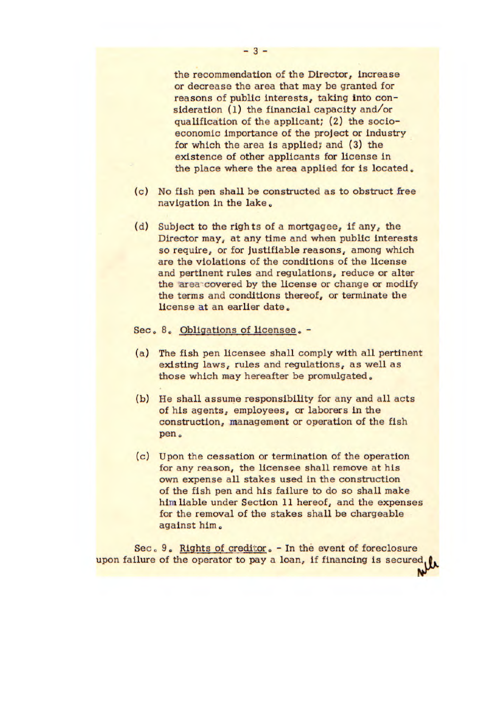the recommendation of the Director, Increase or decrease the area that may be granted for reasons of public Interests, taking into consideration (1) the financial capacity and/or qualification of the applicant; (2) the socioeconomic importance of the project or Industry for which the area is applied; and (3) the existence of other applicants for license In the place where the area applied for is located.

- (c) No fish pen shall be constructed as to obstruct free navigation in the lake.
- (d) Subject to the rights of a mortgagee, if any, the Director may, at any time and when public Interests so require, or for Justifiable reasons, among which are the violations of the conditions of the license and pertinent rules and regulations, reduce or alter the area covered by the license or change or modify the terms and conditions thereof, or terminate the license at an earlier date.

Sec. 8, Obligations of licensee. -

- (a) The fish pen licensee shall comply with all pertinent existing laws, rules and regulations, as well as those which may hereafter be promulgated.
- (b) He shall assume responsibility for any and all acts of his agents, employees, or laborers in the construction, management or operation of the fish pen.
- (c) Upon the cessation or termination of the operation for any reason, the licensee shall remove at his own expense all stakes used in the construction of the fish pen and his failure to do so shall make him liable under Section 11 hereof, and the expenses for the removal of the stakes shall be chargeable against him.

Sec. 9. Rights of creditor. - In the event of foreclosure upon failure of the operator to pay a loan, if financing is secured, Nr